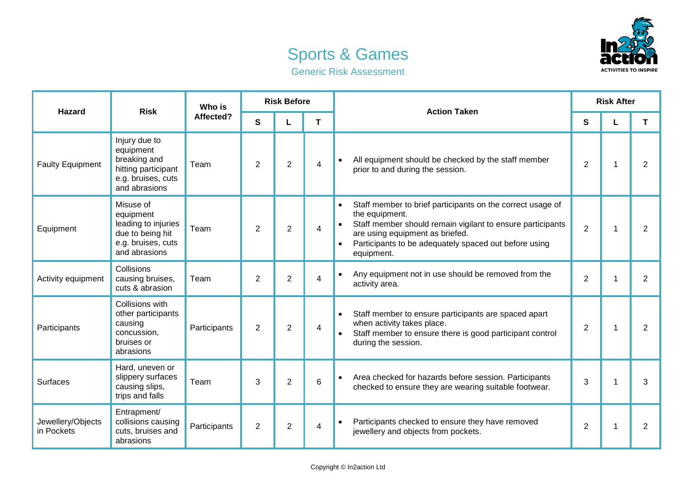



|  |  | <b>Generic Risk Assessment</b> |
|--|--|--------------------------------|
|--|--|--------------------------------|

| <b>Hazard</b>                   | <b>Risk</b>                                                                                              | Who is<br>Affected? | <b>Risk Before</b> |                |                | <b>Action Taken</b>                                                                                                                                                                                                                                                            | <b>Risk After</b> |  |                |
|---------------------------------|----------------------------------------------------------------------------------------------------------|---------------------|--------------------|----------------|----------------|--------------------------------------------------------------------------------------------------------------------------------------------------------------------------------------------------------------------------------------------------------------------------------|-------------------|--|----------------|
|                                 |                                                                                                          |                     | S                  |                | T              |                                                                                                                                                                                                                                                                                | S                 |  | T              |
| <b>Faulty Equipment</b>         | Injury due to<br>equipment<br>breaking and<br>hitting participant<br>e.g. bruises, cuts<br>and abrasions | Team                | 2                  | $\overline{2}$ | 4              | All equipment should be checked by the staff member<br>$\bullet$<br>prior to and during the session.                                                                                                                                                                           | $\overline{2}$    |  | $\overline{2}$ |
| Equipment                       | Misuse of<br>equipment<br>leading to injuries<br>due to being hit<br>e.g. bruises, cuts<br>and abrasions | Team                | $\overline{2}$     | $\overline{2}$ | 4              | Staff member to brief participants on the correct usage of<br>$\bullet$<br>the equipment.<br>Staff member should remain vigilant to ensure participants<br>$\bullet$<br>are using equipment as briefed.<br>Participants to be adequately spaced out before using<br>equipment. | $\overline{2}$    |  | $\overline{2}$ |
| Activity equipment              | Collisions<br>causing bruises,<br>cuts & abrasion                                                        | Team                | $\overline{2}$     | $\overline{2}$ | 4              | Any equipment not in use should be removed from the<br>$\bullet$<br>activity area.                                                                                                                                                                                             | $\overline{2}$    |  | $\overline{2}$ |
| Participants                    | Collisions with<br>other participants<br>causing<br>concussion,<br>bruises or<br>abrasions               | Participants        | 2                  | $\overline{2}$ | $\overline{4}$ | Staff member to ensure participants are spaced apart<br>when activity takes place.<br>Staff member to ensure there is good participant control<br>during the session.                                                                                                          | $\overline{2}$    |  | $\overline{2}$ |
| <b>Surfaces</b>                 | Hard, uneven or<br>slippery surfaces<br>causing slips,<br>trips and falls                                | Team                | 3                  | $\overline{2}$ | 6              | Area checked for hazards before session. Participants<br>$\bullet$<br>checked to ensure they are wearing suitable footwear.                                                                                                                                                    | 3                 |  | 3              |
| Jewellery/Objects<br>in Pockets | Entrapment/<br>collisions causing<br>cuts, bruises and<br>abrasions                                      | Participants        | $\overline{2}$     | $\overline{c}$ | 4              | Participants checked to ensure they have removed<br>$\bullet$<br>jewellery and objects from pockets.                                                                                                                                                                           | $\overline{2}$    |  | $\overline{2}$ |